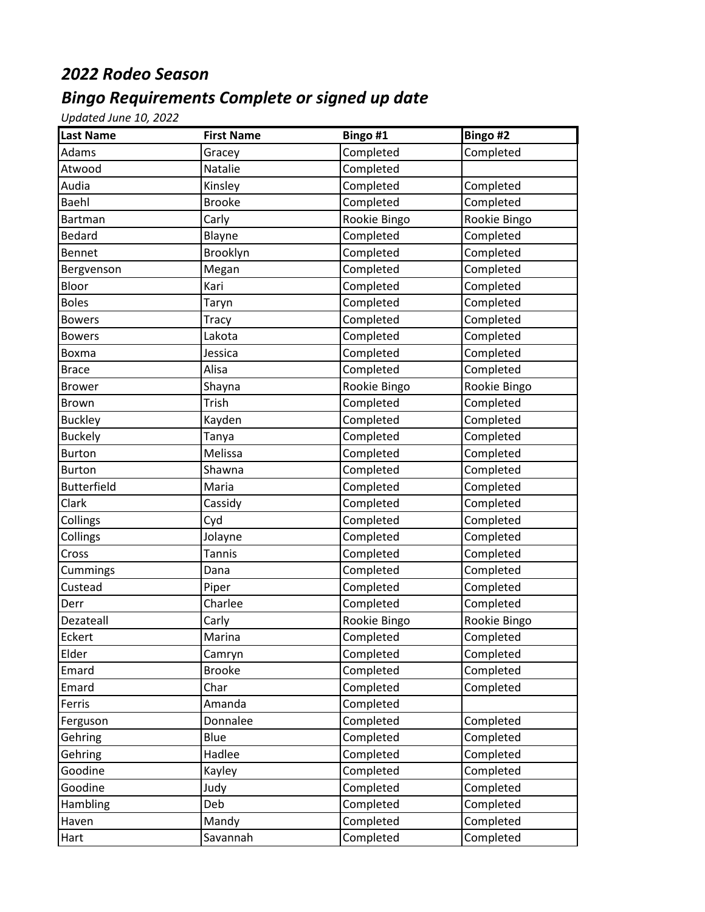## *2022 Rodeo Season*

## *Bingo Requirements Complete or signed up date*

*Updated June 10, 2022*

| <b>Last Name</b>   | <b>First Name</b> | Bingo #1     | Bingo #2     |
|--------------------|-------------------|--------------|--------------|
| Adams              | Gracey            | Completed    | Completed    |
| Atwood             | Natalie           | Completed    |              |
| Audia              | Kinsley           | Completed    | Completed    |
| Baehl              | <b>Brooke</b>     | Completed    | Completed    |
| Bartman            | Carly             | Rookie Bingo | Rookie Bingo |
| Bedard             | Blayne            | Completed    | Completed    |
| <b>Bennet</b>      | Brooklyn          | Completed    | Completed    |
| Bergvenson         | Megan             | Completed    | Completed    |
| Bloor              | Kari              | Completed    | Completed    |
| <b>Boles</b>       | Taryn             | Completed    | Completed    |
| <b>Bowers</b>      | <b>Tracy</b>      | Completed    | Completed    |
| <b>Bowers</b>      | Lakota            | Completed    | Completed    |
| Boxma              | Jessica           | Completed    | Completed    |
| Brace              | Alisa             | Completed    | Completed    |
| <b>Brower</b>      | Shayna            | Rookie Bingo | Rookie Bingo |
| Brown              | Trish             | Completed    | Completed    |
| <b>Buckley</b>     | Kayden            | Completed    | Completed    |
| <b>Buckely</b>     | Tanya             | Completed    | Completed    |
| <b>Burton</b>      | Melissa           | Completed    | Completed    |
| <b>Burton</b>      | Shawna            | Completed    | Completed    |
| <b>Butterfield</b> | Maria             | Completed    | Completed    |
| Clark              | Cassidy           | Completed    | Completed    |
| Collings           | Cyd               | Completed    | Completed    |
| Collings           | Jolayne           | Completed    | Completed    |
| Cross              | <b>Tannis</b>     | Completed    | Completed    |
| Cummings           | Dana              | Completed    | Completed    |
| Custead            | Piper             | Completed    | Completed    |
| Derr               | Charlee           | Completed    | Completed    |
| Dezateall          | Carly             | Rookie Bingo | Rookie Bingo |
| Eckert             | Marina            | Completed    | Completed    |
| Elder              | Camryn            | Completed    | Completed    |
| Emard              | <b>Brooke</b>     | Completed    | Completed    |
| Emard              | Char              | Completed    | Completed    |
| Ferris             | Amanda            | Completed    |              |
| Ferguson           | Donnalee          | Completed    | Completed    |
| Gehring            | Blue              | Completed    | Completed    |
| Gehring            | Hadlee            | Completed    | Completed    |
| Goodine            | Kayley            | Completed    | Completed    |
| Goodine            | Judy              | Completed    | Completed    |
| Hambling           | Deb               | Completed    | Completed    |
| Haven              | Mandy             | Completed    | Completed    |
| Hart               | Savannah          | Completed    | Completed    |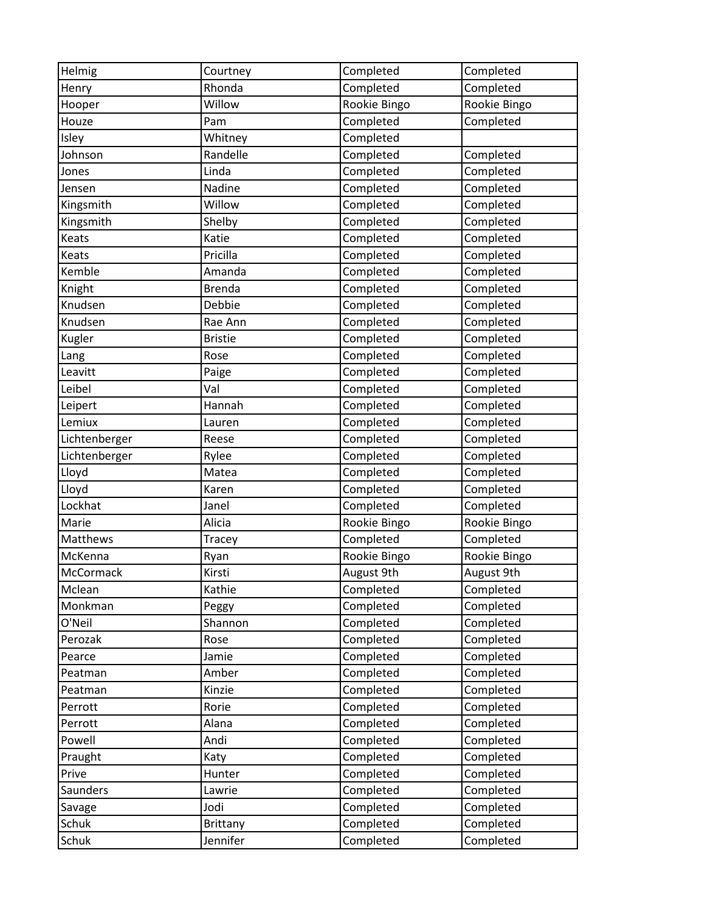| Helmig          | Courtney        | Completed    | Completed    |
|-----------------|-----------------|--------------|--------------|
| Henry           | Rhonda          | Completed    | Completed    |
| Hooper          | Willow          | Rookie Bingo | Rookie Bingo |
| Houze           | Pam             | Completed    | Completed    |
| Isley           | Whitney         | Completed    |              |
| Johnson         | Randelle        | Completed    | Completed    |
| Jones           | Linda           | Completed    | Completed    |
| Jensen          | Nadine          | Completed    | Completed    |
| Kingsmith       | Willow          | Completed    | Completed    |
| Kingsmith       | Shelby          | Completed    | Completed    |
| Keats           | Katie           | Completed    | Completed    |
| Keats           | Pricilla        | Completed    | Completed    |
| Kemble          | Amanda          | Completed    | Completed    |
| Knight          | <b>Brenda</b>   | Completed    | Completed    |
| Knudsen         | Debbie          | Completed    | Completed    |
| Knudsen         | Rae Ann         | Completed    | Completed    |
| Kugler          | <b>Bristie</b>  | Completed    | Completed    |
| Lang            | Rose            | Completed    | Completed    |
| Leavitt         | Paige           | Completed    | Completed    |
| Leibel          | Val             | Completed    | Completed    |
| Leipert         | Hannah          | Completed    | Completed    |
| Lemiux          | Lauren          | Completed    | Completed    |
| Lichtenberger   | Reese           | Completed    | Completed    |
| Lichtenberger   | Rylee           | Completed    | Completed    |
| Lloyd           | Matea           | Completed    | Completed    |
| Lloyd           | Karen           | Completed    | Completed    |
| Lockhat         | Janel           | Completed    | Completed    |
| Marie           | Alicia          | Rookie Bingo | Rookie Bingo |
| Matthews        | Tracey          | Completed    | Completed    |
| McKenna         | Ryan            | Rookie Bingo | Rookie Bingo |
| McCormack       | Kirsti          | August 9th   | August 9th   |
| Mclean          | Kathie          | Completed    | Completed    |
| Monkman         | Peggy           | Completed    | Completed    |
| O'Neil          | Shannon         | Completed    | Completed    |
| Perozak         | Rose            | Completed    | Completed    |
| Pearce          | Jamie           | Completed    | Completed    |
| Peatman         | Amber           | Completed    | Completed    |
| Peatman         | Kinzie          | Completed    | Completed    |
| Perrott         | Rorie           | Completed    | Completed    |
| Perrott         | Alana           | Completed    | Completed    |
| Powell          | Andi            | Completed    | Completed    |
| Praught         | Katy            | Completed    | Completed    |
| Prive           | Hunter          | Completed    | Completed    |
| <b>Saunders</b> | Lawrie          | Completed    | Completed    |
| Savage          | Jodi            | Completed    | Completed    |
| Schuk           | <b>Brittany</b> | Completed    | Completed    |
| Schuk           | Jennifer        | Completed    | Completed    |